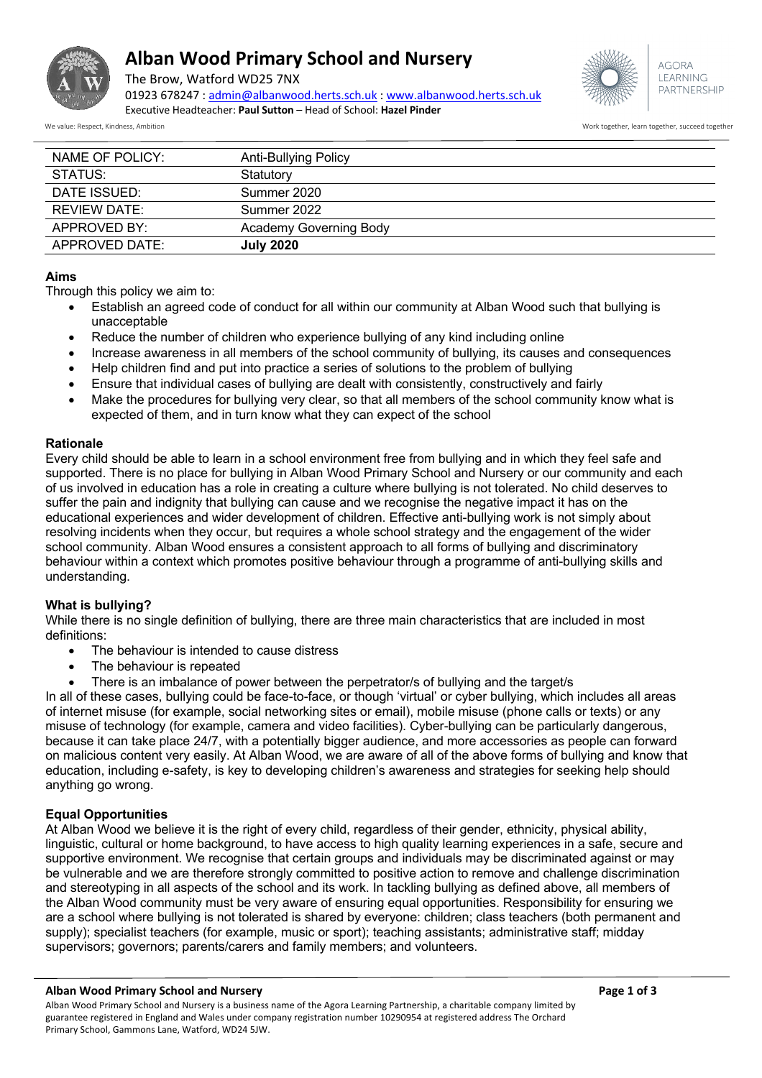

# **Alban Wood Primary School and Nursery**

The Brow, Watford WD25 7NX



**AGORA** LEARNING PARTNERSHIP

01923 678247 : admin@albanwood.herts.sch.uk : www.albanwood.herts.sch.uk Executive Headteacher: **Paul Sutton** – Head of School: **Hazel Pinder**

We value: Respect, Kindness, Ambition Work together, learn together, succeed together

| NAME OF POLICY:     | Anti-Bullying Policy   |  |
|---------------------|------------------------|--|
| STATUS:             | Statutory              |  |
| DATE ISSUED:        | Summer 2020            |  |
| <b>REVIEW DATE:</b> | Summer 2022            |  |
| APPROVED BY:        | Academy Governing Body |  |
| APPROVED DATE:      | <b>July 2020</b>       |  |

### **Aims**

Through this policy we aim to:

- Establish an agreed code of conduct for all within our community at Alban Wood such that bullying is unacceptable
- Reduce the number of children who experience bullying of any kind including online
- Increase awareness in all members of the school community of bullying, its causes and consequences
- Help children find and put into practice a series of solutions to the problem of bullying
- Ensure that individual cases of bullying are dealt with consistently, constructively and fairly
- Make the procedures for bullying very clear, so that all members of the school community know what is expected of them, and in turn know what they can expect of the school

#### **Rationale**

Every child should be able to learn in a school environment free from bullying and in which they feel safe and supported. There is no place for bullying in Alban Wood Primary School and Nursery or our community and each of us involved in education has a role in creating a culture where bullying is not tolerated. No child deserves to suffer the pain and indignity that bullying can cause and we recognise the negative impact it has on the educational experiences and wider development of children. Effective anti-bullying work is not simply about resolving incidents when they occur, but requires a whole school strategy and the engagement of the wider school community. Alban Wood ensures a consistent approach to all forms of bullying and discriminatory behaviour within a context which promotes positive behaviour through a programme of anti-bullying skills and understanding.

### **What is bullying?**

While there is no single definition of bullying, there are three main characteristics that are included in most definitions:

- The behaviour is intended to cause distress
- The behaviour is repeated
- There is an imbalance of power between the perpetrator/s of bullying and the target/s

In all of these cases, bullying could be face-to-face, or though 'virtual' or cyber bullying, which includes all areas of internet misuse (for example, social networking sites or email), mobile misuse (phone calls or texts) or any misuse of technology (for example, camera and video facilities). Cyber-bullying can be particularly dangerous, because it can take place 24/7, with a potentially bigger audience, and more accessories as people can forward on malicious content very easily. At Alban Wood, we are aware of all of the above forms of bullying and know that education, including e-safety, is key to developing children's awareness and strategies for seeking help should anything go wrong.

### **Equal Opportunities**

At Alban Wood we believe it is the right of every child, regardless of their gender, ethnicity, physical ability, linguistic, cultural or home background, to have access to high quality learning experiences in a safe, secure and supportive environment. We recognise that certain groups and individuals may be discriminated against or may be vulnerable and we are therefore strongly committed to positive action to remove and challenge discrimination and stereotyping in all aspects of the school and its work. In tackling bullying as defined above, all members of the Alban Wood community must be very aware of ensuring equal opportunities. Responsibility for ensuring we are a school where bullying is not tolerated is shared by everyone: children; class teachers (both permanent and supply); specialist teachers (for example, music or sport); teaching assistants; administrative staff; midday supervisors; governors; parents/carers and family members; and volunteers.

#### **Alban Wood Primary School and Nursery Page 1 of 3**

Alban Wood Primary School and Nursery is a business name of the Agora Learning Partnership, a charitable company limited by guarantee registered in England and Wales under company registration number 10290954 at registered address The Orchard Primary School, Gammons Lane, Watford, WD24 5JW.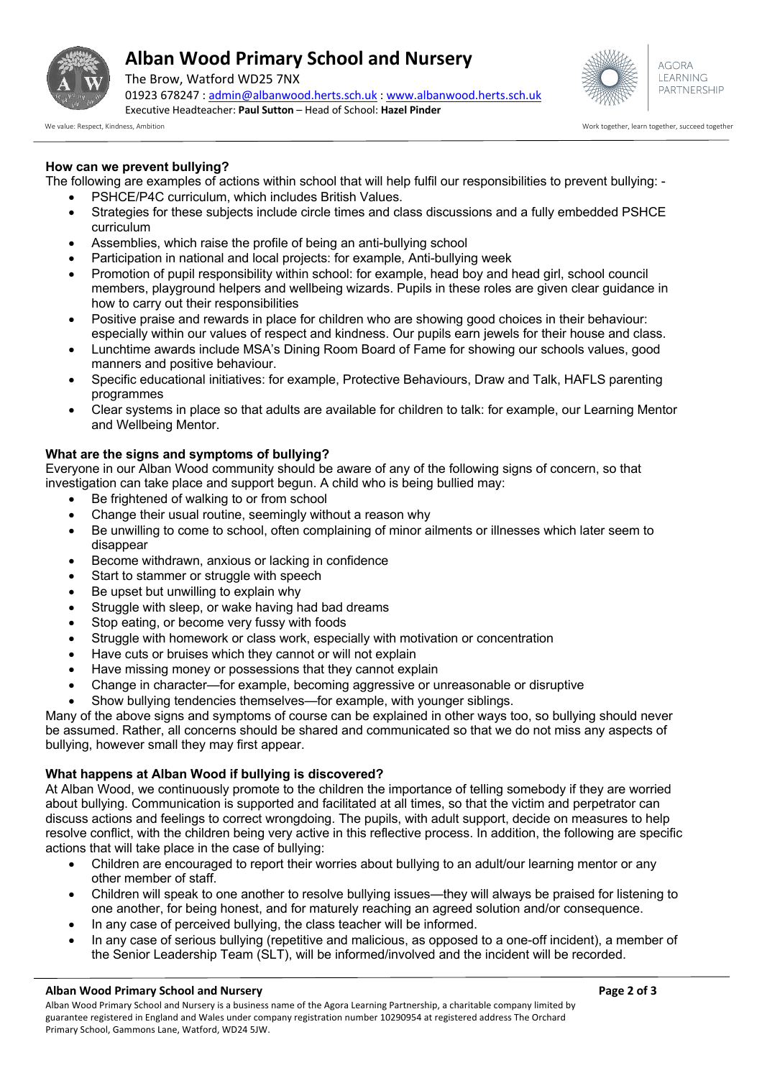

# **Alban Wood Primary School and Nursery**

The Brow, Watford WD25 7NX 01923 678247 : admin@albanwood.herts.sch.uk : www.albanwood.herts.sch.uk Executive Headteacher: **Paul Sutton** – Head of School: **Hazel Pinder**



We value: Respect, Kindness, Ambition Work together, succeed together, succeed together, succeed together, succeed together, succeed together, succeed together, succeed together, succeed together, succeed together, succeed

## **How can we prevent bullying?**

The following are examples of actions within school that will help fulfil our responsibilities to prevent bullying: -

- PSHCE/P4C curriculum, which includes British Values.
- Strategies for these subjects include circle times and class discussions and a fully embedded PSHCE curriculum
- Assemblies, which raise the profile of being an anti-bullying school
- Participation in national and local projects: for example, Anti-bullying week
- Promotion of pupil responsibility within school: for example, head boy and head girl, school council members, playground helpers and wellbeing wizards. Pupils in these roles are given clear guidance in how to carry out their responsibilities
- Positive praise and rewards in place for children who are showing good choices in their behaviour: especially within our values of respect and kindness. Our pupils earn jewels for their house and class.
- Lunchtime awards include MSA's Dining Room Board of Fame for showing our schools values, good manners and positive behaviour.
- Specific educational initiatives: for example, Protective Behaviours, Draw and Talk, HAFLS parenting programmes
- Clear systems in place so that adults are available for children to talk: for example, our Learning Mentor and Wellbeing Mentor.

## **What are the signs and symptoms of bullying?**

Everyone in our Alban Wood community should be aware of any of the following signs of concern, so that investigation can take place and support begun. A child who is being bullied may:

- Be frightened of walking to or from school
- Change their usual routine, seemingly without a reason why
- Be unwilling to come to school, often complaining of minor ailments or illnesses which later seem to disappear
- Become withdrawn, anxious or lacking in confidence
- Start to stammer or struggle with speech
- Be upset but unwilling to explain why
- Struggle with sleep, or wake having had bad dreams
- Stop eating, or become very fussy with foods
- Struggle with homework or class work, especially with motivation or concentration
- Have cuts or bruises which they cannot or will not explain
- Have missing money or possessions that they cannot explain
- Change in character—for example, becoming aggressive or unreasonable or disruptive
- Show bullying tendencies themselves—for example, with younger siblings.

Many of the above signs and symptoms of course can be explained in other ways too, so bullying should never be assumed. Rather, all concerns should be shared and communicated so that we do not miss any aspects of bullying, however small they may first appear.

## **What happens at Alban Wood if bullying is discovered?**

At Alban Wood, we continuously promote to the children the importance of telling somebody if they are worried about bullying. Communication is supported and facilitated at all times, so that the victim and perpetrator can discuss actions and feelings to correct wrongdoing. The pupils, with adult support, decide on measures to help resolve conflict, with the children being very active in this reflective process. In addition, the following are specific actions that will take place in the case of bullying:

- Children are encouraged to report their worries about bullying to an adult/our learning mentor or any other member of staff.
- Children will speak to one another to resolve bullying issues—they will always be praised for listening to one another, for being honest, and for maturely reaching an agreed solution and/or consequence.
- In any case of perceived bullying, the class teacher will be informed.
- In any case of serious bullying (repetitive and malicious, as opposed to a one-off incident), a member of the Senior Leadership Team (SLT), will be informed/involved and the incident will be recorded.